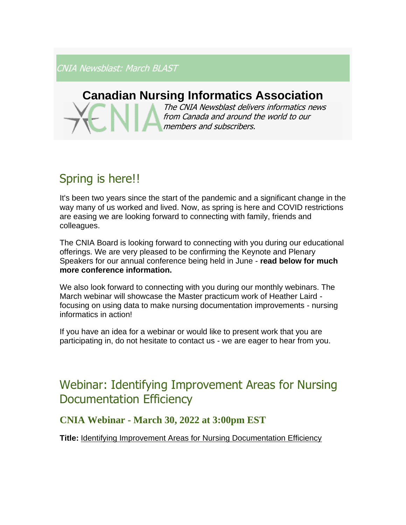CNIA Newsblast: March BLAST

### **Canadian Nursing Informatics Association**

The CNIA Newsblast delivers informatics news from Canada and around the world to our members and subscribers.

# Spring is here!!

It's been two years since the start of the pandemic and a significant change in the way many of us worked and lived. Now, as spring is here and COVID restrictions are easing we are looking forward to connecting with family, friends and colleagues.

The CNIA Board is looking forward to connecting with you during our educational offerings. We are very pleased to be confirming the Keynote and Plenary Speakers for our annual conference being held in June - **read below for much more conference information.**

We also look forward to connecting with you during our monthly webinars. The March webinar will showcase the Master practicum work of Heather Laird focusing on using data to make nursing documentation improvements - nursing informatics in action!

If you have an idea for a webinar or would like to present work that you are participating in, do not hesitate to contact us - we are eager to hear from you.

# Webinar: Identifying Improvement Areas for Nursing Documentation Efficiency

#### **CNIA Webinar - March 30, 2022 at 3:00pm EST**

**Title:** Identifying Improvement Areas for Nursing Documentation Efficiency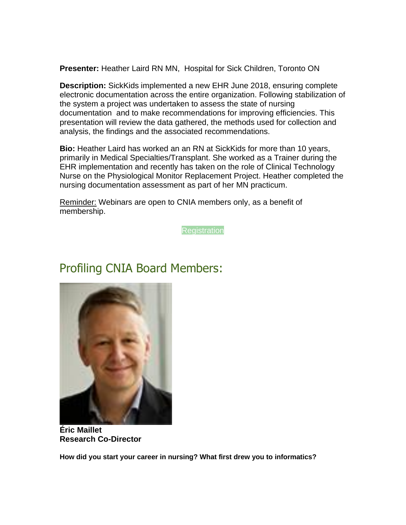**Presenter:** Heather Laird RN MN, Hospital for Sick Children, Toronto ON

**Description:** SickKids implemented a new EHR June 2018, ensuring complete electronic documentation across the entire organization. Following stabilization of the system a project was undertaken to assess the state of nursing documentation and to make recommendations for improving efficiencies. This presentation will review the data gathered, the methods used for collection and analysis, the findings and the associated recommendations.

**Bio:** Heather Laird has worked an an RN at SickKids for more than 10 years, primarily in Medical Specialties/Transplant. She worked as a Trainer during the EHR implementation and recently has taken on the role of Clinical Technology Nurse on the Physiological Monitor Replacement Project. Heather completed the nursing documentation assessment as part of her MN practicum.

Reminder: Webinars are open to CNIA members only, as a benefit of membership.

**[Registration](https://cnia.ca/event-4700473)** 

# Profiling CNIA Board Members:



**Éric Maillet Research Co-Director**

**How did you start your career in nursing? What first drew you to informatics?**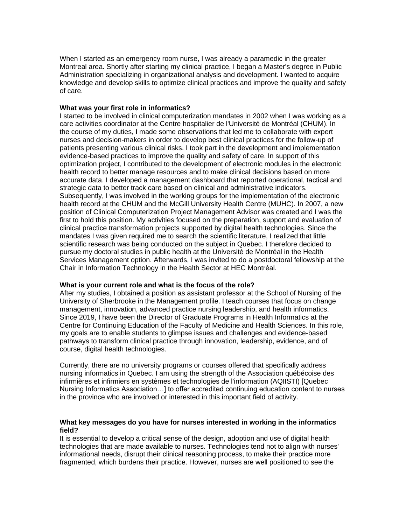When I started as an emergency room nurse, I was already a paramedic in the greater Montreal area. Shortly after starting my clinical practice, I began a Master's degree in Public Administration specializing in organizational analysis and development. I wanted to acquire knowledge and develop skills to optimize clinical practices and improve the quality and safety of care.

#### **What was your first role in informatics?**

I started to be involved in clinical computerization mandates in 2002 when I was working as a care activities coordinator at the Centre hospitalier de l'Université de Montréal (CHUM). In the course of my duties, I made some observations that led me to collaborate with expert nurses and decision-makers in order to develop best clinical practices for the follow-up of patients presenting various clinical risks. I took part in the development and implementation evidence-based practices to improve the quality and safety of care. In support of this optimization project, I contributed to the development of electronic modules in the electronic health record to better manage resources and to make clinical decisions based on more accurate data. I developed a management dashboard that reported operational, tactical and strategic data to better track care based on clinical and administrative indicators. Subsequently, I was involved in the working groups for the implementation of the electronic health record at the CHUM and the McGill University Health Centre (MUHC). In 2007, a new position of Clinical Computerization Project Management Advisor was created and I was the first to hold this position. My activities focused on the preparation, support and evaluation of clinical practice transformation projects supported by digital health technologies. Since the mandates I was given required me to search the scientific literature, I realized that little scientific research was being conducted on the subject in Quebec. I therefore decided to pursue my doctoral studies in public health at the Université de Montréal in the Health Services Management option. Afterwards, I was invited to do a postdoctoral fellowship at the Chair in Information Technology in the Health Sector at HEC Montréal.

#### **What is your current role and what is the focus of the role?**

After my studies, I obtained a position as assistant professor at the School of Nursing of the University of Sherbrooke in the Management profile. I teach courses that focus on change management, innovation, advanced practice nursing leadership, and health informatics. Since 2019, I have been the Director of Graduate Programs in Health Informatics at the Centre for Continuing Education of the Faculty of Medicine and Health Sciences. In this role, my goals are to enable students to glimpse issues and challenges and evidence-based pathways to transform clinical practice through innovation, leadership, evidence, and of course, digital health technologies.

Currently, there are no university programs or courses offered that specifically address nursing informatics in Quebec. I am using the strength of the Association québécoise des infirmières et infirmiers en systèmes et technologies de l'information (AQIISTI) [Quebec Nursing Informatics Association…] to offer accredited continuing education content to nurses in the province who are involved or interested in this important field of activity.

#### **What key messages do you have for nurses interested in working in the informatics field?**

It is essential to develop a critical sense of the design, adoption and use of digital health technologies that are made available to nurses. Technologies tend not to align with nurses' informational needs, disrupt their clinical reasoning process, to make their practice more fragmented, which burdens their practice. However, nurses are well positioned to see the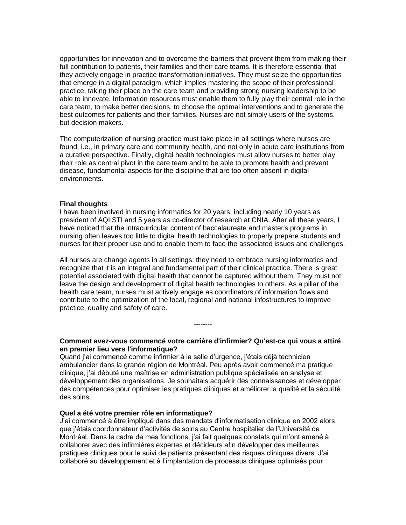opportunities for innovation and to overcome the barriers that prevent them from making their full contribution to patients, their families and their care teams. It is therefore essential that they actively engage in practice transformation initiatives. They must seize the opportunities that emerge in a digital paradigm, which implies mastering the scope of their professional practice, taking their place on the care team and providing strong nursing leadership to be able to innovate. Information resources must enable them to fully play their central role in the care team, to make better decisions, to choose the optimal interventions and to generate the best outcomes for patients and their families. Nurses are not simply users of the systems, but decision makers.

The computerization of nursing practice must take place in all settings where nurses are found, i.e., in primary care and community health, and not only in acute care institutions from a curative perspective. Finally, digital health technologies must allow nurses to better play their role as central pivot in the care team and to be able to promote health and prevent disease, fundamental aspects for the discipline that are too often absent in digital environments.

#### **Final thoughts**

I have been involved in nursing informatics for 20 years, including nearly 10 years as president of AQIISTI and 5 years as co-director of research at CNIA. After all these years, I have noticed that the intracurricular content of baccalaureate and master's programs in nursing often leaves too little to digital health technologies to properly prepare students and nurses for their proper use and to enable them to face the associated issues and challenges.

All nurses are change agents in all settings: they need to embrace nursing informatics and recognize that it is an integral and fundamental part of their clinical practice. There is great potential associated with digital health that cannot be captured without them. They must not leave the design and development of digital health technologies to others. As a pillar of the health care team, nurses must actively engage as coordinators of information flows and contribute to the optimization of the local, regional and national infostructures to improve practice, quality and safety of care.

#### **Comment avez-vous commencé votre carrière d'infirmier? Qu'est-ce qui vous a attiré en premier lieu vers l'informatique?**

--------

Quand j'ai commencé comme infirmier à la salle d'urgence, j'étais déjà technicien ambulancier dans la grande région de Montréal. Peu après avoir commencé ma pratique clinique, j'ai débuté une maîtrise en administration publique spécialisée en analyse et développement des organisations. Je souhaitais acquérir des connaissances et développer des compétences pour optimiser les pratiques cliniques et améliorer la qualité et la sécurité des soins.

#### **Quel a été votre premier rôle en informatique?**

J'ai commencé à être impliqué dans des mandats d'informatisation clinique en 2002 alors que j'étais coordonnateur d'activités de soins au Centre hospitalier de l'Université de Montréal. Dans le cadre de mes fonctions, j'ai fait quelques constats qui m'ont amené à collaborer avec des infirmières expertes et décideurs afin développer des meilleures pratiques cliniques pour le suivi de patients présentant des risques cliniques divers. J'ai collaboré au développement et à l'implantation de processus cliniques optimisés pour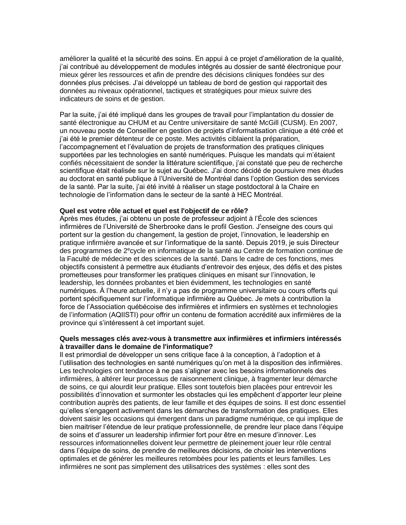améliorer la qualité et la sécurité des soins. En appui à ce projet d'amélioration de la qualité, j'ai contribué au développement de modules intégrés au dossier de santé électronique pour mieux gérer les ressources et afin de prendre des décisions cliniques fondées sur des données plus précises. J'ai développé un tableau de bord de gestion qui rapportait des données au niveaux opérationnel, tactiques et stratégiques pour mieux suivre des indicateurs de soins et de gestion.

Par la suite, j'ai été impliqué dans les groupes de travail pour l'implantation du dossier de santé électronique au CHUM et au Centre universitaire de santé McGill (CUSM). En 2007, un nouveau poste de Conseiller en gestion de projets d'informatisation clinique a été créé et j'ai été le premier détenteur de ce poste. Mes activités ciblaient la préparation, l'accompagnement et l'évaluation de projets de transformation des pratiques cliniques supportées par les technologies en santé numériques. Puisque les mandats qui m'étaient confiés nécessitaient de sonder la littérature scientifique, j'ai constaté que peu de recherche scientifique était réalisée sur le sujet au Québec. J'ai donc décidé de poursuivre mes études au doctorat en santé publique à l'Université de Montréal dans l'option Gestion des services de la santé. Par la suite, j'ai été invité à réaliser un stage postdoctoral à la Chaire en technologie de l'information dans le secteur de la santé à HEC Montréal.

#### **Quel est votre rôle actuel et quel est l'objectif de ce rôle?**

Après mes études, j'ai obtenu un poste de professeur adjoint à l'École des sciences infirmières de l'Université de Sherbrooke dans le profil Gestion. J'enseigne des cours qui portent sur la gestion du changement, la gestion de projet, l'innovation, le leadership en pratique infirmière avancée et sur l'informatique de la santé. Depuis 2019, je suis Directeur des programmes de 2<sup>e</sup>cycle en informatique de la santé au Centre de formation continue de la Faculté de médecine et des sciences de la santé. Dans le cadre de ces fonctions, mes objectifs consistent à permettre aux étudiants d'entrevoir des enjeux, des défis et des pistes prometteuses pour transformer les pratiques cliniques en misant sur l'innovation, le leadership, les données probantes et bien évidemment, les technologies en santé numériques. À l'heure actuelle, il n'y a pas de programme universitaire ou cours offerts qui portent spécifiquement sur l'informatique infirmière au Québec. Je mets à contribution la force de l'Association québécoise des infirmières et infirmiers en systèmes et technologies de l'information (AQIISTI) pour offrir un contenu de formation accrédité aux infirmières de la province qui s'intéressent à cet important sujet.

#### **Quels messages clés avez-vous à transmettre aux infirmières et infirmiers intéressés à travailler dans le domaine de l'informatique?**

Il est primordial de développer un sens critique face à la conception, à l'adoption et à l'utilisation des technologies en santé numériques qu'on met à la disposition des infirmières. Les technologies ont tendance à ne pas s'aligner avec les besoins informationnels des infirmières, à altérer leur processus de raisonnement clinique, à fragmenter leur démarche de soins, ce qui alourdit leur pratique. Elles sont toutefois bien placées pour entrevoir les possibilités d'innovation et surmonter les obstacles qui les empêchent d'apporter leur pleine contribution auprès des patients, de leur famille et des équipes de soins. Il est donc essentiel qu'elles s'engagent activement dans les démarches de transformation des pratiques. Elles doivent saisir les occasions qui émergent dans un paradigme numérique, ce qui implique de bien maitriser l'étendue de leur pratique professionnelle, de prendre leur place dans l'équipe de soins et d'assurer un leadership infirmier fort pour être en mesure d'innover. Les ressources informationnelles doivent leur permettre de pleinement jouer leur rôle central dans l'équipe de soins, de prendre de meilleures décisions, de choisir les interventions optimales et de générer les meilleures retombées pour les patients et leurs familles. Les infirmières ne sont pas simplement des utilisatrices des systèmes : elles sont des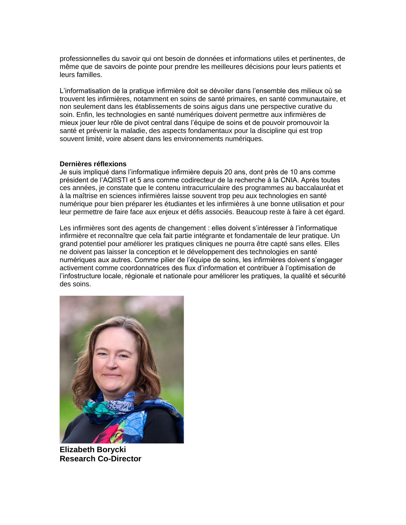professionnelles du savoir qui ont besoin de données et informations utiles et pertinentes, de même que de savoirs de pointe pour prendre les meilleures décisions pour leurs patients et leurs familles.

L'informatisation de la pratique infirmière doit se dévoiler dans l'ensemble des milieux où se trouvent les infirmières, notamment en soins de santé primaires, en santé communautaire, et non seulement dans les établissements de soins aigus dans une perspective curative du soin. Enfin, les technologies en santé numériques doivent permettre aux infirmières de mieux jouer leur rôle de pivot central dans l'équipe de soins et de pouvoir promouvoir la santé et prévenir la maladie, des aspects fondamentaux pour la discipline qui est trop souvent limité, voire absent dans les environnements numériques.

#### **Dernières réflexions**

Je suis impliqué dans l'informatique infirmière depuis 20 ans, dont près de 10 ans comme président de l'AQIISTI et 5 ans comme codirecteur de la recherche à la CNIA. Après toutes ces années, je constate que le contenu intracurriculaire des programmes au baccalauréat et à la maîtrise en sciences infirmières laisse souvent trop peu aux technologies en santé numérique pour bien préparer les étudiantes et les infirmières à une bonne utilisation et pour leur permettre de faire face aux enjeux et défis associés. Beaucoup reste à faire à cet égard.

Les infirmières sont des agents de changement : elles doivent s'intéresser à l'informatique infirmière et reconnaître que cela fait partie intégrante et fondamentale de leur pratique. Un grand potentiel pour améliorer les pratiques cliniques ne pourra être capté sans elles. Elles ne doivent pas laisser la conception et le développement des technologies en santé numériques aux autres. Comme pilier de l'équipe de soins, les infirmières doivent s'engager activement comme coordonnatrices des flux d'information et contribuer à l'optimisation de l'infostructure locale, régionale et nationale pour améliorer les pratiques, la qualité et sécurité des soins.



**Elizabeth Borycki Research Co-Director**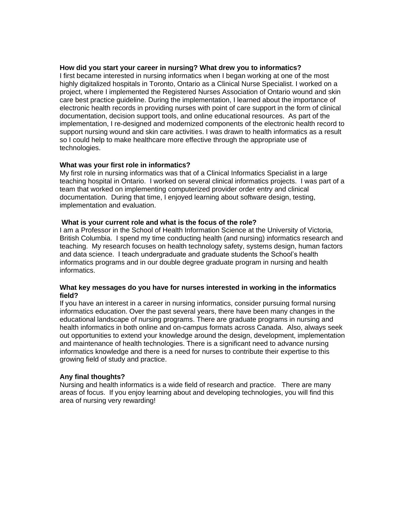#### **How did you start your career in nursing? What drew you to informatics?**

I first became interested in nursing informatics when I began working at one of the most highly digitalized hospitals in Toronto, Ontario as a Clinical Nurse Specialist. I worked on a project, where I implemented the Registered Nurses Association of Ontario wound and skin care best practice guideline. During the implementation, I learned about the importance of electronic health records in providing nurses with point of care support in the form of clinical documentation, decision support tools, and online educational resources. As part of the implementation, I re-designed and modernized components of the electronic health record to support nursing wound and skin care activities. I was drawn to health informatics as a result so I could help to make healthcare more effective through the appropriate use of technologies.

#### **What was your first role in informatics?**

My first role in nursing informatics was that of a Clinical Informatics Specialist in a large teaching hospital in Ontario. I worked on several clinical informatics projects. I was part of a team that worked on implementing computerized provider order entry and clinical documentation. During that time, I enjoyed learning about software design, testing, implementation and evaluation.

#### **What is your current role and what is the focus of the role?**

I am a Professor in the School of Health Information Science at the University of Victoria, British Columbia. I spend my time conducting health (and nursing) informatics research and teaching. My research focuses on health technology safety, systems design, human factors and data science. I teach undergraduate and graduate students the School's health informatics programs and in our double degree graduate program in nursing and health informatics.

#### **What key messages do you have for nurses interested in working in the informatics field?**

If you have an interest in a career in nursing informatics, consider pursuing formal nursing informatics education. Over the past several years, there have been many changes in the educational landscape of nursing programs. There are graduate programs in nursing and health informatics in both online and on-campus formats across Canada. Also, always seek out opportunities to extend your knowledge around the design, development, implementation and maintenance of health technologies. There is a significant need to advance nursing informatics knowledge and there is a need for nurses to contribute their expertise to this growing field of study and practice.

#### **Any final thoughts?**

Nursing and health informatics is a wide field of research and practice. There are many areas of focus. If you enjoy learning about and developing technologies, you will find this area of nursing very rewarding!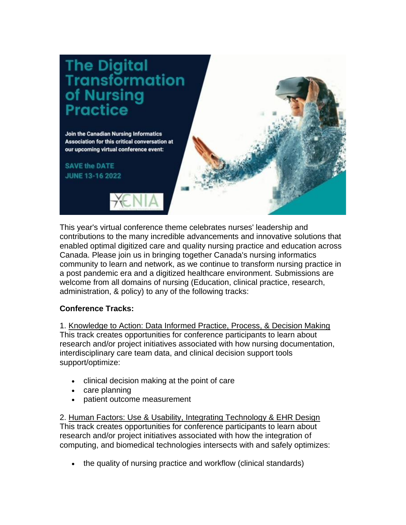

This year's virtual conference theme celebrates nurses' leadership and contributions to the many incredible advancements and innovative solutions that enabled optimal digitized care and quality nursing practice and education across Canada. Please join us in bringing together Canada's nursing informatics community to learn and network, as we continue to transform nursing practice in a post pandemic era and a digitized healthcare environment. Submissions are welcome from all domains of nursing (Education, clinical practice, research, administration, & policy) to any of the following tracks:

#### **Conference Tracks:**

1. Knowledge to Action: Data Informed Practice, Process, & Decision Making This track creates opportunities for conference participants to learn about research and/or project initiatives associated with how nursing documentation, interdisciplinary care team data, and clinical decision support tools support/optimize:

- clinical decision making at the point of care
- care planning
- patient outcome measurement

2. Human Factors: Use & Usability, Integrating Technology & EHR Design This track creates opportunities for conference participants to learn about research and/or project initiatives associated with how the integration of computing, and biomedical technologies intersects with and safely optimizes:

• the quality of nursing practice and workflow (clinical standards)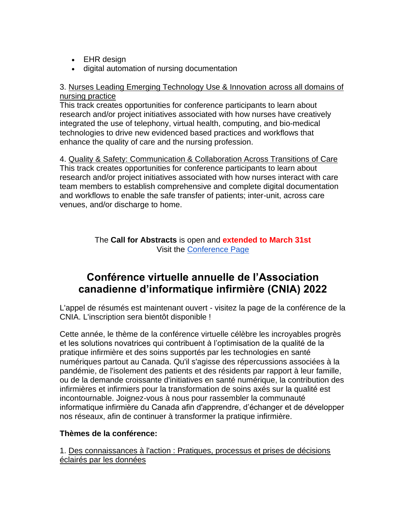- EHR design
- digital automation of nursing documentation

#### 3. Nurses Leading Emerging Technology Use & Innovation across all domains of nursing practice

This track creates opportunities for conference participants to learn about research and/or project initiatives associated with how nurses have creatively integrated the use of telephony, virtual health, computing, and bio-medical technologies to drive new evidenced based practices and workflows that enhance the quality of care and the nursing profession.

4. Quality & Safety: Communication & Collaboration Across Transitions of Care This track creates opportunities for conference participants to learn about research and/or project initiatives associated with how nurses interact with care team members to establish comprehensive and complete digital documentation and workflows to enable the safe transfer of patients; inter-unit, across care venues, and/or discharge to home.

#### The **Call for Abstracts** is open and **extended to March 31st** Visit the [Conference Page](https://cnia.ca/EmailTracker/LinkTracker.ashx?linkAndRecipientCode=xUGv5Ll6LwscGKIu3xfnTv2EQQkRaVP7NzBlyrz0IZRmPjx5XyiHMgPD6EEXWS0fVGS0aucYiWWh5nqh%2b8Gfxgo68uLIcgklX0A%2bCMeHXoM%3d)

### **Conférence virtuelle annuelle de l'Association canadienne d'informatique infirmière (CNIA) 2022**

L'appel de résumés est maintenant ouvert - visitez la page de la conférence de la CNIA. L'inscription sera bientôt disponible !

Cette année, le thème de la conférence virtuelle célèbre les incroyables progrès et les solutions novatrices qui contribuent à l'optimisation de la qualité de la pratique infirmière et des soins supportés par les technologies en santé numériques partout au Canada. Qu'il s'agisse des répercussions associées à la pandémie, de l'isolement des patients et des résidents par rapport à leur famille, ou de la demande croissante d'initiatives en santé numérique, la contribution des infirmières et infirmiers pour la transformation de soins axés sur la qualité est incontournable. Joignez-vous à nous pour rassembler la communauté informatique infirmière du Canada afin d'apprendre, d'échanger et de développer nos réseaux, afin de continuer à transformer la pratique infirmière.

#### **Thèmes de la conférence:**

1. Des connaissances à l'action : Pratiques, processus et prises de décisions éclairés par les données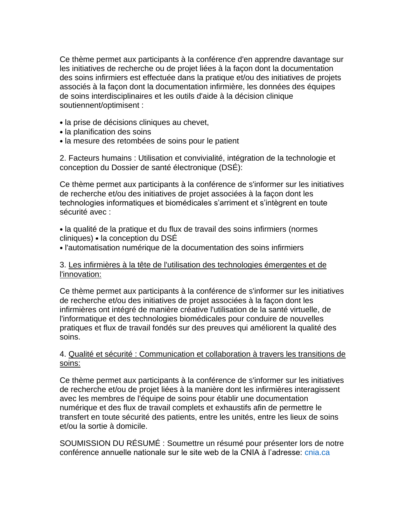Ce thème permet aux participants à la conférence d'en apprendre davantage sur les initiatives de recherche ou de projet liées à la façon dont la documentation des soins infirmiers est effectuée dans la pratique et/ou des initiatives de projets associés à la façon dont la documentation infirmière, les données des équipes de soins interdisciplinaires et les outils d'aide à la décision clinique soutiennent/optimisent :

- la prise de décisions cliniques au chevet,
- la planification des soins
- la mesure des retombées de soins pour le patient

2. Facteurs humains : Utilisation et convivialité, intégration de la technologie et conception du Dossier de santé électronique (DSÉ):

Ce thème permet aux participants à la conférence de s'informer sur les initiatives de recherche et/ou des initiatives de projet associées à la façon dont les technologies informatiques et biomédicales s'arriment et s'intègrent en toute sécurité avec :

• la qualité de la pratique et du flux de travail des soins infirmiers (normes cliniques) • la conception du DSÉ

• l'automatisation numérique de la documentation des soins infirmiers

#### 3. Les infirmières à la tête de l'utilisation des technologies émergentes et de l'innovation:

Ce thème permet aux participants à la conférence de s'informer sur les initiatives de recherche et/ou des initiatives de projet associées à la façon dont les infirmières ont intégré de manière créative l'utilisation de la santé virtuelle, de l'informatique et des technologies biomédicales pour conduire de nouvelles pratiques et flux de travail fondés sur des preuves qui améliorent la qualité des soins.

#### 4. Qualité et sécurité : Communication et collaboration à travers les transitions de soins:

Ce thème permet aux participants à la conférence de s'informer sur les initiatives de recherche et/ou de projet liées à la manière dont les infirmières interagissent avec les membres de l'équipe de soins pour établir une documentation numérique et des flux de travail complets et exhaustifs afin de permettre le transfert en toute sécurité des patients, entre les unités, entre les lieux de soins et/ou la sortie à domicile.

SOUMISSION DU RÉSUMÉ : Soumettre un résumé pour présenter lors de notre conférence annuelle nationale sur le site web de la CNIA à l'adresse: cnia.ca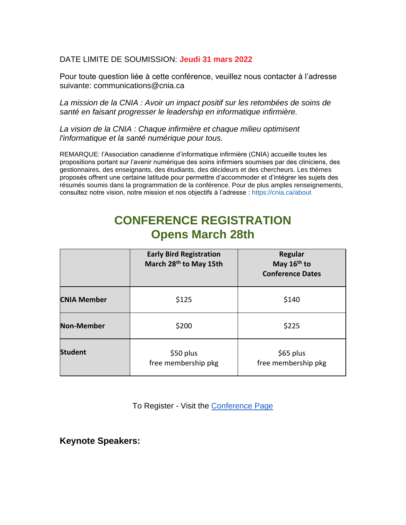#### DATE LIMITE DE SOUMISSION: **Jeudi 31 mars 2022**

Pour toute question liée à cette conférence, veuillez nous contacter à l'adresse suivante: communications@cnia.ca

*La mission de la CNIA : Avoir un impact positif sur les retombées de soins de santé en faisant progresser le leadership en informatique infirmière.*

*La vision de la CNIA : Chaque infirmière et chaque milieu optimisent l'informatique et la santé numérique pour tous.*

REMARQUE: l'Association canadienne d'informatique infirmière (CNIA) accueille toutes les propositions portant sur l'avenir numérique des soins infirmiers soumises par des cliniciens, des gestionnaires, des enseignants, des étudiants, des décideurs et des chercheurs. Les thèmes proposés offrent une certaine latitude pour permettre d'accommoder et d'intégrer les sujets des résumés soumis dans la programmation de la conférence. Pour de plus amples renseignements, consultez notre vision, notre mission et nos objectifs à l'adresse : https://cnia.ca/about

## **CONFERENCE REGISTRATION Opens March 28th**

|                    | <b>Early Bird Registration</b><br>March 28 <sup>th</sup> to May 15th | Regular<br>May 16 <sup>th</sup> to<br><b>Conference Dates</b> |  |
|--------------------|----------------------------------------------------------------------|---------------------------------------------------------------|--|
| <b>CNIA Member</b> | \$125                                                                | \$140                                                         |  |
| <b>Non-Member</b>  | \$200                                                                | \$225                                                         |  |
| <b>Student</b>     | \$50 plus<br>free membership pkg                                     | $$65$ plus<br>free membership pkg                             |  |

To Register - Visit the [Conference Page](https://cnia.ca/EmailTracker/LinkTracker.ashx?linkAndRecipientCode=xUGv5Ll6LwscGKIu3xfnTv2EQQkRaVP7NzBlyrz0IZRmPjx5XyiHMgPD6EEXWS0fVGS0aucYiWWh5nqh%2b8Gfxgo68uLIcgklX0A%2bCMeHXoM%3d)

**Keynote Speakers:**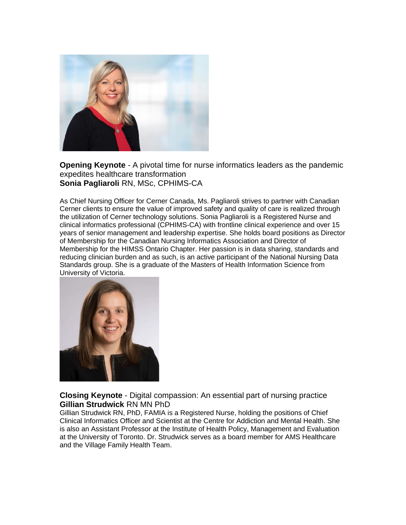

**Opening Keynote** - A pivotal time for nurse informatics leaders as the pandemic expedites healthcare transformation **Sonia Pagliaroli** RN, MSc, CPHIMS-CA

As Chief Nursing Officer for Cerner Canada, Ms. Pagliaroli strives to partner with Canadian Cerner clients to ensure the value of improved safety and quality of care is realized through the utilization of Cerner technology solutions. Sonia Pagliaroli is a Registered Nurse and clinical informatics professional (CPHIMS-CA) with frontline clinical experience and over 15 years of senior management and leadership expertise. She holds board positions as Director of Membership for the Canadian Nursing Informatics Association and Director of Membership for the HIMSS Ontario Chapter. Her passion is in data sharing, standards and reducing clinician burden and as such, is an active participant of the National Nursing Data Standards group. She is a graduate of the Masters of Health Information Science from University of Victoria.



**Closing Keynote** - Digital compassion: An essential part of nursing practice **Gillian Strudwick** RN MN PhD

Gillian Strudwick RN, PhD, FAMIA is a Registered Nurse, holding the positions of Chief Clinical Informatics Officer and Scientist at the Centre for Addiction and Mental Health. She is also an Assistant Professor at the Institute of Health Policy, Management and Evaluation at the University of Toronto. Dr. Strudwick serves as a board member for AMS Healthcare and the Village Family Health Team.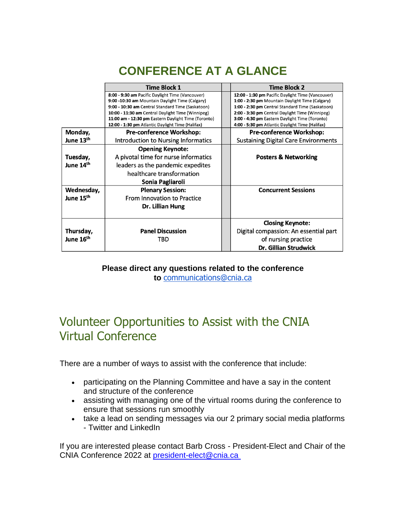# **CONFERENCE AT A GLANCE**

|                       | <b>Time Block 1</b>                                                                                 | <b>Time Block 2</b>                                                                                  |
|-----------------------|-----------------------------------------------------------------------------------------------------|------------------------------------------------------------------------------------------------------|
|                       | 8:00 - 9:30 am Pacific Daylight Time (Vancouver)<br>9:00 -10:30 am Mountain Daylight Time (Calgary) | 12:00 - 1:30 pm Pacific Daylight Time (Vancouver)<br>1:00 - 2:30 pm Mountain Daylight Time (Calgary) |
|                       | 9:00 - 10:30 am Central Standard Time (Saskatoon)                                                   | 1:00 - 2:30 pm Central Standard Time (Saskatoon)                                                     |
|                       | 10:00 - 11:30 am Central Daylight Time (Winnipeg)                                                   | 2:00 - 3:30 pm Central Daylight Time (Winnipeg)                                                      |
|                       | 11:00 am - 12:30 pm Eastern Daylight Time (Toronto)                                                 | 3:00 - 4:30 pm Eastern Daylight Time (Toronto)                                                       |
|                       | 12:00 - 1:30 pm Atlantic Daylight Time (Halifax)                                                    | 4:00 - 5:30 pm Atlantic Daylight Time (Halifax)                                                      |
| Monday,               | <b>Pre-conference Workshop:</b>                                                                     | <b>Pre-conference Workshop:</b>                                                                      |
| June 13 <sup>th</sup> | Introduction to Nursing Informatics                                                                 | <b>Sustaining Digital Care Environments</b>                                                          |
|                       | <b>Opening Keynote:</b>                                                                             |                                                                                                      |
| Tuesday,              | A pivotal time for nurse informatics                                                                | <b>Posters &amp; Networking</b>                                                                      |
| June 14 <sup>th</sup> | leaders as the pandemic expedites                                                                   |                                                                                                      |
|                       | healthcare transformation                                                                           |                                                                                                      |
|                       | Sonia Pagliaroli                                                                                    |                                                                                                      |
| Wednesday,            | <b>Plenary Session:</b>                                                                             | <b>Concurrent Sessions</b>                                                                           |
| June 15 <sup>th</sup> | From Innovation to Practice                                                                         |                                                                                                      |
|                       | Dr. Lillian Hung                                                                                    |                                                                                                      |
|                       |                                                                                                     |                                                                                                      |
|                       |                                                                                                     | <b>Closing Keynote:</b>                                                                              |
| Thursday,             | <b>Panel Discussion</b>                                                                             | Digital compassion: An essential part                                                                |
| June 16 <sup>th</sup> | TBD                                                                                                 | of nursing practice                                                                                  |
|                       |                                                                                                     | <b>Dr. Gillian Strudwick</b>                                                                         |

**Please direct any questions related to the conference** 

**to** [communications@cnia.ca](mailto:communications@cnia.ca)

# Volunteer Opportunities to Assist with the CNIA Virtual Conference

There are a number of ways to assist with the conference that include:

- participating on the Planning Committee and have a say in the content and structure of the conference
- assisting with managing one of the virtual rooms during the conference to ensure that sessions run smoothly
- take a lead on sending messages via our 2 primary social media platforms - Twitter and LinkedIn

If you are interested please contact Barb Cross - President-Elect and Chair of the CNIA Conference 2022 at [president-elect@cnia.ca](mailto:president-elect@cnia.ca)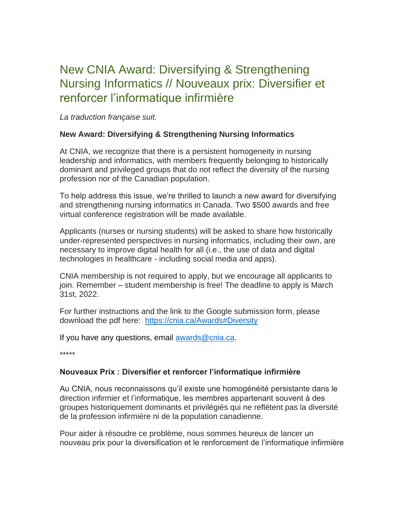## New CNIA Award: Diversifying & Strengthening Nursing Informatics // Nouveaux prix: Diversifier et renforcer l'informatique infirmière

*La traduction française suit.*

#### **New Award: Diversifying & Strengthening Nursing Informatics**

At CNIA, we recognize that there is a persistent homogeneity in nursing leadership and informatics, with members frequently belonging to historically dominant and privileged groups that do not reflect the diversity of the nursing profession nor of the Canadian population.

To help address this issue, we're thrilled to launch a new award for diversifying and strengthening nursing informatics in Canada. Two \$500 awards and free virtual conference registration will be made available.

Applicants (nurses or nursing students) will be asked to share how historically under-represented perspectives in nursing informatics, including their own, are necessary to improve digital health for all (i.e., the use of data and digital technologies in healthcare - including social media and apps).

CNIA membership is not required to apply, but we encourage all applicants to join. Remember – student membership is free! The deadline to apply is March 31st, 2022.

For further instructions and the link to the Google submission form, please download the pdf here: [https://cnia.ca/Awards#Diversity](https://cnia.ca/EmailTracker/LinkTracker.ashx?linkAndRecipientCode=y5f7pnpjvtBUPzWua%2fEfWW%2fDZM5wh86X%2bk6if1RGtm%2bXPLOsD4tgGj%2bzKdvdejfVnJiGn%2bSi0X%2bjyho1gct6EE8mbhe17uCM1ow%2bihbXABg%3d)

If you have any questions, email [awards@cnia.ca.](mailto:awards@cnia.ca)

\*\*\*\*\*

#### **Nouveaux Prix : Diversifier et renforcer l'informatique infirmière**

Au CNIA, nous reconnaissons qu'il existe une homogénéité persistante dans le direction infirmier et l'informatique, les membres appartenant souvent à des groupes historiquement dominants et privilégiés qui ne reflètent pas la diversité de la profession infirmière ni de la population canadienne.

Pour aider à résoudre ce problème, nous sommes heureux de lancer un nouveau prix pour la diversification et le renforcement de l'informatique infirmière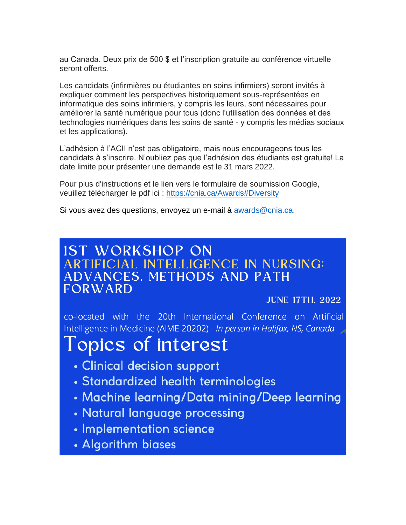au Canada. Deux prix de 500 \$ et l'inscription gratuite au conférence virtuelle seront offerts.

Les candidats (infirmières ou étudiantes en soins infirmiers) seront invités à expliquer comment les perspectives historiquement sous-représentées en informatique des soins infirmiers, y compris les leurs, sont nécessaires pour améliorer la santé numérique pour tous (donc l'utilisation des données et des technologies numériques dans les soins de santé - y compris les médias sociaux et les applications).

L'adhésion à l'ACII n'est pas obligatoire, mais nous encourageons tous les candidats à s'inscrire. N'oubliez pas que l'adhésion des étudiants est gratuite! La date limite pour présenter une demande est le 31 mars 2022.

Pour plus d'instructions et le lien vers le formulaire de soumission Google, veuillez télécharger le pdf ici : [https://cnia.ca/Awards#Diversity](https://cnia.ca/EmailTracker/LinkTracker.ashx?linkAndRecipientCode=y5f7pnpjvtBUPzWua%2fEfWW%2fDZM5wh86X%2bk6if1RGtm%2bXPLOsD4tgGj%2bzKdvdejfVnJiGn%2bSi0X%2bjyho1gct6EE8mbhe17uCM1ow%2bihbXABg%3d)

Si vous avez des questions, envoyez un e-mail à [awards@cnia.ca.](mailto:awards@cnia.ca)

## **1ST WORKSHOP ON ARTIFICIAL INTELLIGENCE IN NURSING:** ADVANCES. METHODS AND PATH **FORWARD**

**JUNE 17TH. 2022** 

co-located with the 20th International Conference on Artificial Intelligence in Medicine (AIME 20202) - In person in Halifax, NS, Canada

# Topics of interest

- Clinical decision support
- Standardized health terminologies
- Machine learning/Data mining/Deep learning
- Natural language processing
- Implementation science
- Algorithm biases